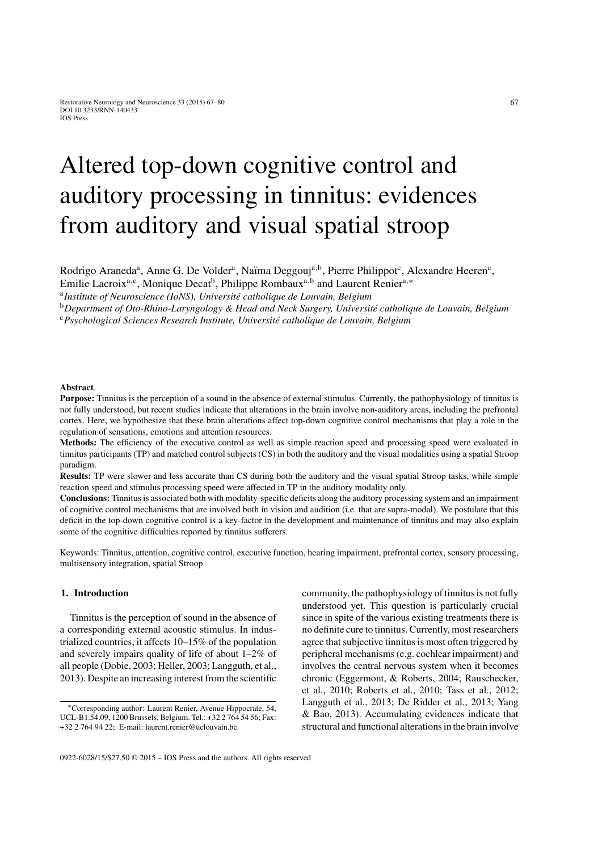# Altered top-down cognitive control and auditory processing in tinnitus: evidences from auditory and visual spatial stroop

Rodrigo Araneda<sup>a</sup>, Anne G. De Volder<sup>a</sup>, Naïma Deggouj<sup>a,b</sup>, Pierre Philippot<sup>c</sup>, Alexandre Heeren<sup>c</sup>,

Emilie Lacroix<sup>a, c</sup>, Monique Decat<sup>b</sup>, Philippe Rombaux<sup>a, b</sup> and Laurent Renier<sup>a,∗</sup>

<sup>a</sup>Institute of Neuroscience (IoNS), Université catholique de Louvain, Belgium

<sup>b</sup>Department of Oto-Rhino-Laryngology & Head and Neck Surgery, Université catholique de Louvain, Belgium <sup>c</sup>*Psychological Sciences Research Institute, Universit´e catholique de Louvain, Belgium*

#### **Abstract**.

**Purpose:** Tinnitus is the perception of a sound in the absence of external stimulus. Currently, the pathophysiology of tinnitus is not fully understood, but recent studies indicate that alterations in the brain involve non-auditory areas, including the prefrontal cortex. Here, we hypothesize that these brain alterations affect top-down cognitive control mechanisms that play a role in the regulation of sensations, emotions and attention resources.

**Methods:** The efficiency of the executive control as well as simple reaction speed and processing speed were evaluated in tinnitus participants (TP) and matched control subjects (CS) in both the auditory and the visual modalities using a spatial Stroop paradigm.

**Results:** TP were slower and less accurate than CS during both the auditory and the visual spatial Stroop tasks, while simple reaction speed and stimulus processing speed were affected in TP in the auditory modality only.

**Conclusions:** Tinnitus is associated both with modality-specific deficits along the auditory processing system and an impairment of cognitive control mechanisms that are involved both in vision and audition (i.e. that are supra-modal). We postulate that this deficit in the top-down cognitive control is a key-factor in the development and maintenance of tinnitus and may also explain some of the cognitive difficulties reported by tinnitus sufferers.

Keywords: Tinnitus, attention, cognitive control, executive function, hearing impairment, prefrontal cortex, sensory processing, multisensory integration, spatial Stroop

# **1. Introduction**

Tinnitus is the perception of sound in the absence of a corresponding external acoustic stimulus. In industrialized countries, it affects 10–15% of the population and severely impairs quality of life of about 1–2% of all people (Dobie, 2003; Heller, 2003; Langguth, et al., 2013). Despite an increasing interest from the scientific

community, the pathophysiology of tinnitus is not fully understood yet. This question is particularly crucial since in spite of the various existing treatments there is no definite cure to tinnitus. Currently, most researchers agree that subjective tinnitus is most often triggered by peripheral mechanisms (e.g. cochlear impairment) and involves the central nervous system when it becomes chronic (Eggermont, & Roberts, 2004; Rauschecker, et al., 2010; Roberts et al., 2010; Tass et al., 2012; Langguth et al., 2013; De Ridder et al., 2013; Yang & Bao, 2013). Accumulating evidences indicate that structural and functional alterations in the brain involve

<sup>∗</sup>Corresponding author: Laurent Renier, Avenue Hippocrate, 54, UCL-B1.54.09, 1200 Brussels, Belgium. Tel.: +32 2 764 54 56; Fax: +32 2 764 94 22; E-mail: laurent.renier@uclouvain.be.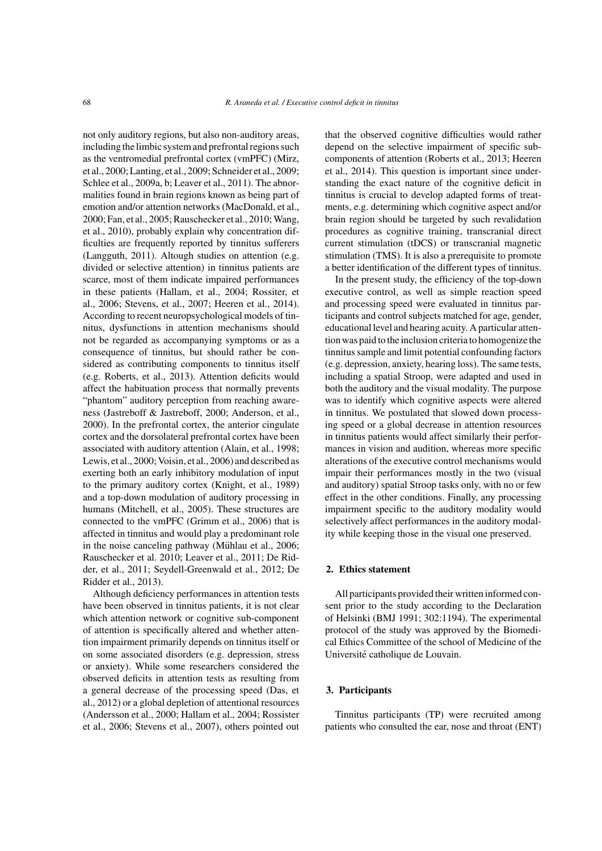not only auditory regions, but also non-auditory areas, including the limbic system and prefrontal regions such as the ventromedial prefrontal cortex (vmPFC) (Mirz, et al., 2000; Lanting, et al., 2009; Schneider et al., 2009; Schlee et al., 2009a, b; Leaver et al., 2011). The abnormalities found in brain regions known as being part of emotion and/or attention networks (MacDonald, et al., 2000; Fan, et al., 2005; Rauschecker et al., 2010; Wang, et al., 2010), probably explain why concentration difficulties are frequently reported by tinnitus sufferers (Langguth, 2011). Altough studies on attention (e.g. divided or selective attention) in tinnitus patients are scarce, most of them indicate impaired performances in these patients (Hallam, et al., 2004; Rossiter, et al., 2006; Stevens, et al., 2007; Heeren et al., 2014). According to recent neuropsychological models of tinnitus, dysfunctions in attention mechanisms should not be regarded as accompanying symptoms or as a consequence of tinnitus, but should rather be considered as contributing components to tinnitus itself (e.g. Roberts, et al., 2013). Attention deficits would affect the habituation process that normally prevents "phantom" auditory perception from reaching awareness (Jastreboff & Jastreboff, 2000; Anderson, et al., 2000). In the prefrontal cortex, the anterior cingulate cortex and the dorsolateral prefrontal cortex have been associated with auditory attention (Alain, et al., 1998; Lewis, et al., 2000; Voisin, et al., 2006) and described as exerting both an early inhibitory modulation of input to the primary auditory cortex (Knight, et al., 1989) and a top-down modulation of auditory processing in humans (Mitchell, et al., 2005). These structures are connected to the vmPFC (Grimm et al., 2006) that is affected in tinnitus and would play a predominant role in the noise canceling pathway (Mühlau et al., 2006; Rauschecker et al. 2010; Leaver et al., 2011; De Ridder, et al., 2011; Seydell-Greenwald et al., 2012; De Ridder et al., 2013).

Although deficiency performances in attention tests have been observed in tinnitus patients, it is not clear which attention network or cognitive sub-component of attention is specifically altered and whether attention impairment primarily depends on tinnitus itself or on some associated disorders (e.g. depression, stress or anxiety). While some researchers considered the observed deficits in attention tests as resulting from a general decrease of the processing speed (Das, et al., 2012) or a global depletion of attentional resources (Andersson et al., 2000; Hallam et al., 2004; Rossister et al., 2006; Stevens et al., 2007), others pointed out

that the observed cognitive difficulties would rather depend on the selective impairment of specific subcomponents of attention (Roberts et al., 2013; Heeren et al., 2014). This question is important since understanding the exact nature of the cognitive deficit in tinnitus is crucial to develop adapted forms of treatments, e.g. determining which cognitive aspect and/or brain region should be targeted by such revalidation procedures as cognitive training, transcranial direct current stimulation (tDCS) or transcranial magnetic stimulation (TMS). It is also a prerequisite to promote a better identification of the different types of tinnitus.

In the present study, the efficiency of the top-down executive control, as well as simple reaction speed and processing speed were evaluated in tinnitus participants and control subjects matched for age, gender, educational level and hearing acuity. A particular attention was paid to the inclusion criteria to homogenize the tinnitus sample and limit potential confounding factors (e.g. depression, anxiety, hearing loss). The same tests, including a spatial Stroop, were adapted and used in both the auditory and the visual modality. The purpose was to identify which cognitive aspects were altered in tinnitus. We postulated that slowed down processing speed or a global decrease in attention resources in tinnitus patients would affect similarly their performances in vision and audition, whereas more specific alterations of the executive control mechanisms would impair their performances mostly in the two (visual and auditory) spatial Stroop tasks only, with no or few effect in the other conditions. Finally, any processing impairment specific to the auditory modality would selectively affect performances in the auditory modality while keeping those in the visual one preserved.

# **2. Ethics statement**

All participants provided their written informed consent prior to the study according to the Declaration of Helsinki (BMJ 1991; 302:1194). The experimental protocol of the study was approved by the Biomedical Ethics Committee of the school of Medicine of the Université catholique de Louvain.

# **3. Participants**

Tinnitus participants (TP) were recruited among patients who consulted the ear, nose and throat (ENT)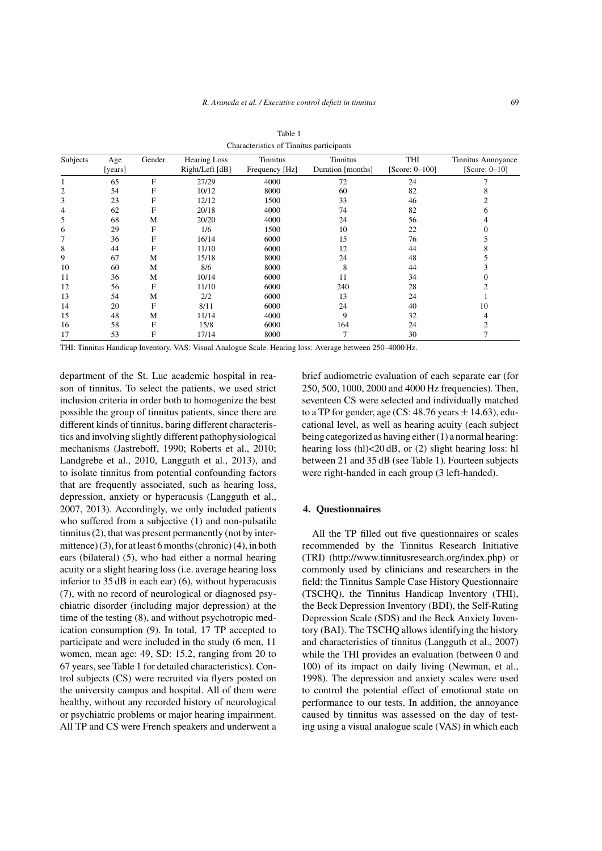| Subjects | Age<br>[years] | Gender | <b>Hearing Loss</b><br>Right/Left [dB] | Tinnitus<br>Frequency [Hz] | Tinnitus<br>Duration [months] | THI<br>[Score: $0-100$ ] | Tinnitus Annoyance<br>$[Score: 0-10]$ |
|----------|----------------|--------|----------------------------------------|----------------------------|-------------------------------|--------------------------|---------------------------------------|
|          | 65             | F      | 27/29                                  | 4000                       | 72                            | 24                       |                                       |
| 2        | 54             | F      | 10/12                                  | 8000                       | 60                            | 82                       |                                       |
| 3        | 23             | F      | 12/12                                  | 1500                       | 33                            | 46                       |                                       |
| 4        | 62             | F      | 20/18                                  | 4000                       | 74                            | 82                       | h                                     |
| 5        | 68             | М      | 20/20                                  | 4000                       | 24                            | 56                       |                                       |
| 6        | 29             | F      | 1/6                                    | 1500                       | 10                            | 22                       |                                       |
| 7        | 36             | F      | 16/14                                  | 6000                       | 15                            | 76                       |                                       |
| 8        | 44             | F      | 11/10                                  | 6000                       | 12                            | 44                       |                                       |
| 9        | 67             | М      | 15/18                                  | 8000                       | 24                            | 48                       |                                       |
| 10       | 60             | М      | 8/6                                    | 8000                       | 8                             | 44                       |                                       |
| 11       | 36             | М      | 10/14                                  | 6000                       | 11                            | 34                       |                                       |
| 12       | 56             | F      | 11/10                                  | 6000                       | 240                           | 28                       |                                       |
| 13       | 54             | M      | 2/2                                    | 6000                       | 13                            | 24                       |                                       |
| 14       | 20             | F      | 8/11                                   | 6000                       | 24                            | 40                       | 10                                    |
| 15       | 48             | М      | 11/14                                  | 4000                       | 9                             | 32                       |                                       |
| 16       | 58             | F      | 15/8                                   | 6000                       | 164                           | 24                       |                                       |
| 17       | 53             | F      | 17/14                                  | 8000                       | 7                             | 30                       |                                       |

Table 1 Characteristics of Tinnitus participants

THI: Tinnitus Handicap Inventory. VAS: Visual Analogue Scale. Hearing loss: Average between 250–4000 Hz.

department of the St. Luc academic hospital in reason of tinnitus. To select the patients, we used strict inclusion criteria in order both to homogenize the best possible the group of tinnitus patients, since there are different kinds of tinnitus, baring different characteristics and involving slightly different pathophysiological mechanisms (Jastreboff, 1990; Roberts et al., 2010; Landgrebe et al., 2010, Langguth et al., 2013), and to isolate tinnitus from potential confounding factors that are frequently associated, such as hearing loss, depression, anxiety or hyperacusis (Langguth et al., 2007, 2013). Accordingly, we only included patients who suffered from a subjective (1) and non-pulsatile tinnitus (2), that was present permanently (not by intermittence) (3), for at least 6 months (chronic) (4), in both ears (bilateral) (5), who had either a normal hearing acuity or a slight hearing loss (i.e. average hearing loss inferior to 35 dB in each ear) (6), without hyperacusis (7), with no record of neurological or diagnosed psychiatric disorder (including major depression) at the time of the testing (8), and without psychotropic medication consumption (9). In total, 17 TP accepted to participate and were included in the study (6 men, 11 women, mean age: 49, SD: 15.2, ranging from 20 to 67 years, see Table 1 for detailed characteristics). Control subjects (CS) were recruited via flyers posted on the university campus and hospital. All of them were healthy, without any recorded history of neurological or psychiatric problems or major hearing impairment. All TP and CS were French speakers and underwent a brief audiometric evaluation of each separate ear (for 250, 500, 1000, 2000 and 4000 Hz frequencies). Then, seventeen CS were selected and individually matched to a TP for gender, age (CS:  $48.76$  years  $\pm$  [14.63\), edu]((http://www.tinnitusresearch.org/index.php))cational level, as well as hearing acuity (each subject being categorized as having either (1) a normal hearing: hearing loss (hl)<20 dB, or (2) slight hearing loss: hl between 21 and 35 dB (see Table 1). Fourteen subjects were right-handed in each group (3 left-handed).

## **4. Questionnaires**

All the TP filled out five questionnaires or scales recommended by the Tinnitus Research Initiative (TRI) (http://www.tinnitusresearch.org/index.php) or commonly used by clinicians and researchers in the field: the Tinnitus Sample Case History Questionnaire (TSCHQ), the Tinnitus Handicap Inventory (THI), the Beck Depression Inventory (BDI), the Self-Rating Depression Scale (SDS) and the Beck Anxiety Inventory (BAI). The TSCHQ allows identifying the history and characteristics of tinnitus (Langguth et al., 2007) while the THI provides an evaluation (between 0 and 100) of its impact on daily living (Newman, et al., 1998). The depression and anxiety scales were used to control the potential effect of emotional state on performance to our tests. In addition, the annoyance caused by tinnitus was assessed on the day of testing using a visual analogue scale (VAS) in which each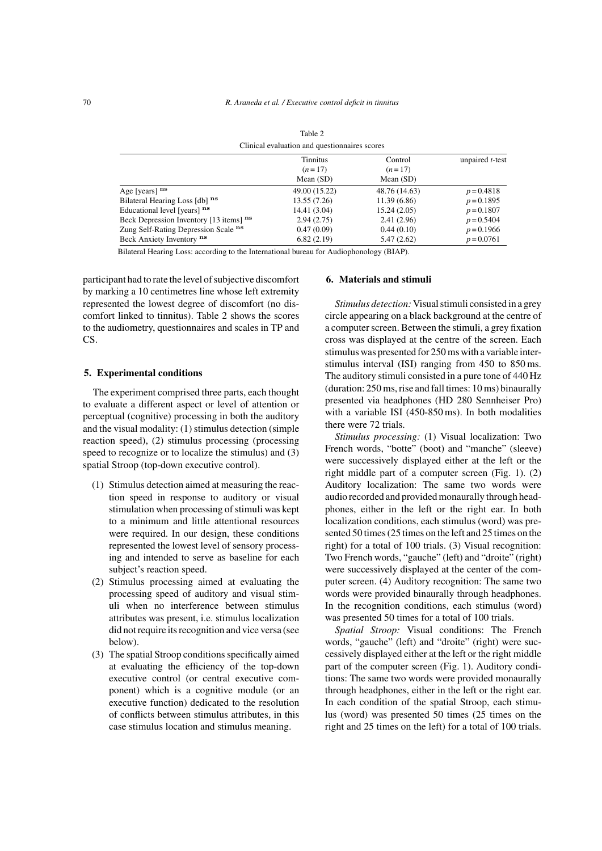| Clinical evaluation and questionnaires scores |                             |                     |                         |  |  |  |  |
|-----------------------------------------------|-----------------------------|---------------------|-------------------------|--|--|--|--|
|                                               | <b>Tinnitus</b><br>$(n=17)$ | Control<br>$(n=17)$ | unpaired <i>t</i> -test |  |  |  |  |
|                                               | Mean $(SD)$                 | Mean $(SD)$         |                         |  |  |  |  |
| Age [years] $ns$                              | 49.00 (15.22)               | 48.76 (14.63)       | $p = 0.4818$            |  |  |  |  |
| Bilateral Hearing Loss [db] ns                | 13.55 (7.26)                | 11.39(6.86)         | $p = 0.1895$            |  |  |  |  |
| Educational level [years] ns                  | 14.41 (3.04)                | 15.24(2.05)         | $p = 0.1807$            |  |  |  |  |
| Beck Depression Inventory [13 items] ns       | 2.94(2.75)                  | 2.41(2.96)          | $p = 0.5404$            |  |  |  |  |
| Zung Self-Rating Depression Scale ns          | 0.47(0.09)                  | 0.44(0.10)          | $p = 0.1966$            |  |  |  |  |
| Beck Anxiety Inventory ns                     | 6.82(2.19)                  | 5.47(2.62)          | $p = 0.0761$            |  |  |  |  |

Table 2

Bilateral Hearing Loss: according to the International bureau for Audiophonology (BIAP).

participant had to rate the level of subjective discomfort by marking a 10 centimetres line whose left extremity represented the lowest degree of discomfort (no discomfort linked to tinnitus). Table 2 shows the scores to the audiometry, questionnaires and scales in TP and CS.

## **5. Experimental conditions**

The experiment comprised three parts, each thought to evaluate a different aspect or level of attention or perceptual (cognitive) processing in both the auditory and the visual modality: (1) stimulus detection (simple reaction speed), (2) stimulus processing (processing speed to recognize or to localize the stimulus) and (3) spatial Stroop (top-down executive control).

- (1) Stimulus detection aimed at measuring the reaction speed in response to auditory or visual stimulation when processing of stimuli was kept to a minimum and little attentional resources were required. In our design, these conditions represented the lowest level of sensory processing and intended to serve as baseline for each subject's reaction speed.
- (2) Stimulus processing aimed at evaluating the processing speed of auditory and visual stimuli when no interference between stimulus attributes was present, i.e. stimulus localization did not require its recognition and vice versa (see below).
- (3) The spatial Stroop conditions specifically aimed at evaluating the efficiency of the top-down executive control (or central executive component) which is a cognitive module (or an executive function) dedicated to the resolution of conflicts between stimulus attributes, in this case stimulus location and stimulus meaning.

## **6. Materials and stimuli**

*Stimulus detection:* Visual stimuli consisted in a grey circle appearing on a black background at the centre of a computer screen. Between the stimuli, a grey fixation cross was displayed at the centre of the screen. Each stimulus was presented for 250 ms with a variable interstimulus interval (ISI) ranging from 450 to 850 ms. The auditory stimuli consisted in a pure tone of 440 Hz (duration: 250 ms, rise and fall times: 10 ms) binaurally presented via headphones (HD 280 Sennheiser Pro) with a variable ISI (450-850 ms). In both modalities there were 72 trials.

*Stimulus processing:* (1) Visual localization: Two French words, "botte" (boot) and "manche" (sleeve) were successively displayed either at the left or the right middle part of a computer screen (Fig. 1). (2) Auditory localization: The same two words were audio recorded and provided monaurally through headphones, either in the left or the right ear. In both localization conditions, each stimulus (word) was presented 50 times (25 times on the left and 25 times on the right) for a total of 100 trials. (3) Visual recognition: Two French words, "gauche" (left) and "droite" (right) were successively displayed at the center of the computer screen. (4) Auditory recognition: The same two words were provided binaurally through headphones. In the recognition conditions, each stimulus (word) was presented 50 times for a total of 100 trials.

*Spatial Stroop:* Visual conditions: The French words, "gauche" (left) and "droite" (right) were successively displayed either at the left or the right middle part of the computer screen (Fig. 1). Auditory conditions: The same two words were provided monaurally through headphones, either in the left or the right ear. In each condition of the spatial Stroop, each stimulus (word) was presented 50 times (25 times on the right and 25 times on the left) for a total of 100 trials.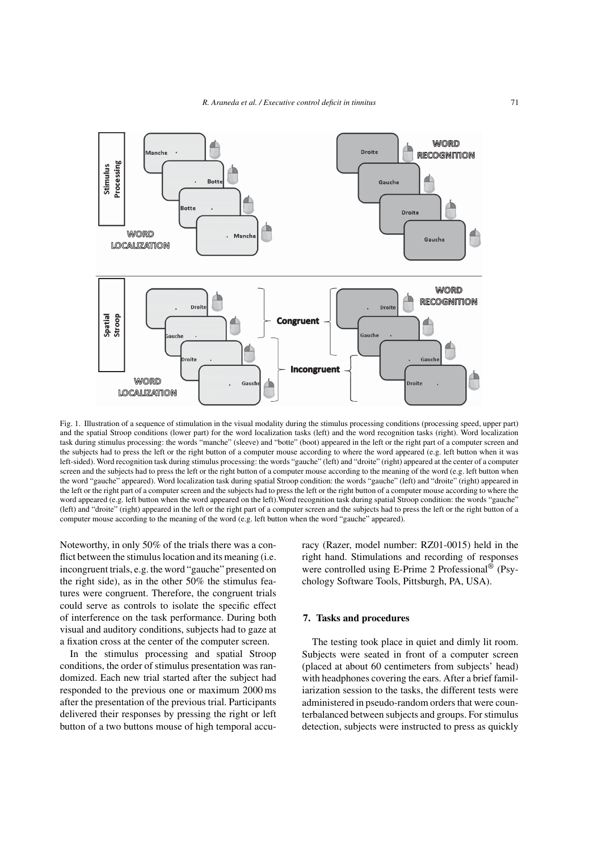

Fig. 1. Illustration of a sequence of stimulation in the visual modality during the stimulus processing conditions (processing speed, upper part) and the spatial Stroop conditions (lower part) for the word localization tasks (left) and the word recognition tasks (right). Word localization task during stimulus processing: the words "manche" (sleeve) and "botte" (boot) appeared in the left or the right part of a computer screen and the subjects had to press the left or the right button of a computer mouse according to where the word appeared (e.g. left button when it was left-sided). Word recognition task during stimulus processing: the words "gauche" (left) and "droite" (right) appeared at the center of a computer screen and the subjects had to press the left or the right button of a computer mouse according to the meaning of the word (e.g. left button when the word "gauche" appeared). Word localization task during spatial Stroop condition: the words "gauche" (left) and "droite" (right) appeared in the left or the right part of a computer screen and the subjects had to press the left or the right button of a computer mouse according to where the word appeared (e.g. left button when the word appeared on the left).Word recognition task during spatial Stroop condition: the words "gauche" (left) and "droite" (right) appeared in the left or the right part of a computer screen and the subjects had to press the left or the right button of a computer mouse according to the meaning of the word (e.g. left button when the word "gauche" appeared).

Noteworthy, in only 50% of the trials there was a conflict between the stimulus location and its meaning (i.e. incongruent trials, e.g. the word "gauche" presented on the right side), as in the other 50% the stimulus features were congruent. Therefore, the congruent trials could serve as controls to isolate the specific effect of interference on the task performance. During both visual and auditory conditions, subjects had to gaze at a fixation cross at the center of the computer screen.

In the stimulus processing and spatial Stroop conditions, the order of stimulus presentation was randomized. Each new trial started after the subject had responded to the previous one or maximum 2000 ms after the presentation of the previous trial. Participants delivered their responses by pressing the right or left button of a two buttons mouse of high temporal accuracy (Razer, model number: RZ01-0015) held in the right hand. Stimulations and recording of responses were controlled using E-Prime 2 Professional<sup>®</sup> (Psychology Software Tools, Pittsburgh, PA, USA).

# **7. Tasks and procedures**

The testing took place in quiet and dimly lit room. Subjects were seated in front of a computer screen (placed at about 60 centimeters from subjects' head) with headphones covering the ears. After a brief familiarization session to the tasks, the different tests were administered in pseudo-random orders that were counterbalanced between subjects and groups. For stimulus detection, subjects were instructed to press as quickly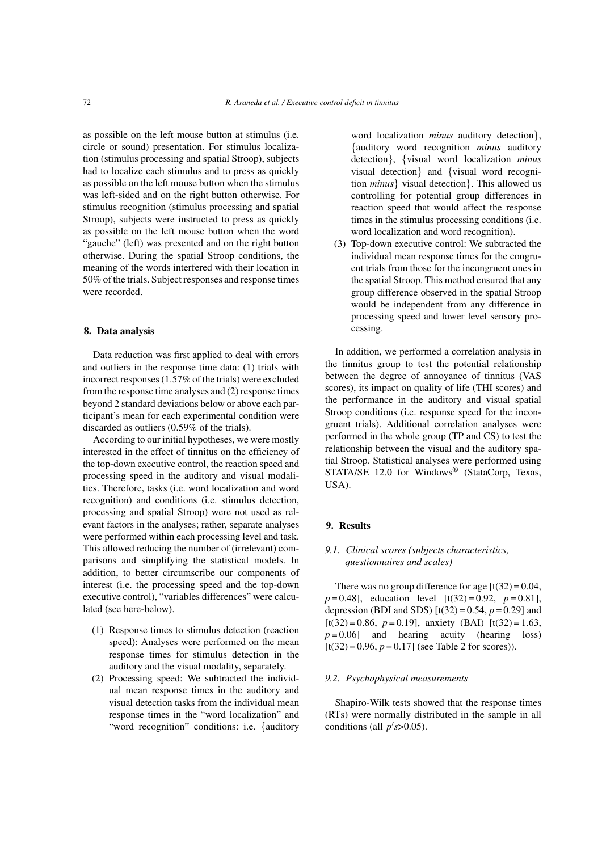as possible on the left mouse button at stimulus (i.e. circle or sound) presentation. For stimulus localization (stimulus processing and spatial Stroop), subjects had to localize each stimulus and to press as quickly as possible on the left mouse button when the stimulus was left-sided and on the right button otherwise. For stimulus recognition (stimulus processing and spatial Stroop), subjects were instructed to press as quickly as possible on the left mouse button when the word "gauche" (left) was presented and on the right button otherwise. During the spatial Stroop conditions, the meaning of the words interfered with their location in 50% of the trials. Subject responses and response times were recorded.

#### **8. Data analysis**

Data reduction was first applied to deal with errors and outliers in the response time data: (1) trials with incorrect responses (1.57% of the trials) were excluded from the response time analyses and (2) response times beyond 2 standard deviations below or above each participant's mean for each experimental condition were discarded as outliers (0.59% of the trials).

According to our initial hypotheses, we were mostly interested in the effect of tinnitus on the efficiency of the top-down executive control, the reaction speed and processing speed in the auditory and visual modalities. Therefore, tasks (i.e. word localization and word recognition) and conditions (i.e. stimulus detection, processing and spatial Stroop) were not used as relevant factors in the analyses; rather, separate analyses were performed within each processing level and task. This allowed reducing the number of (irrelevant) comparisons and simplifying the statistical models. In addition, to better circumscribe our components of interest (i.e. the processing speed and the top-down executive control), "variables differences" were calculated (see here-below).

- (1) Response times to stimulus detection (reaction speed): Analyses were performed on the mean response times for stimulus detection in the auditory and the visual modality, separately.
- (2) Processing speed: We subtracted the individual mean response times in the auditory and visual detection tasks from the individual mean response times in the "word localization" and "word recognition" conditions: i.e. {auditory

word localization *minus* auditory detection}, {auditory word recognition *minus* auditory detection}, {visual word localization *minus* visual detection} and {visual word recognition *minus*} visual detection}. This allowed us controlling for potential group differences in reaction speed that would affect the response times in the stimulus processing conditions (i.e. word localization and word recognition).

(3) Top-down executive control: We subtracted the individual mean response times for the congruent trials from those for the incongruent ones in the spatial Stroop. This method ensured that any group difference observed in the spatial Stroop would be independent from any difference in processing speed and lower level sensory processing.

In addition, we performed a correlation analysis in the tinnitus group to test the potential relationship between the degree of annoyance of tinnitus (VAS scores), its impact on quality of life (THI scores) and the performance in the auditory and visual spatial Stroop conditions (i.e. response speed for the incongruent trials). Additional correlation analyses were performed in the whole group (TP and CS) to test the relationship between the visual and the auditory spatial Stroop. Statistical analyses were performed using STATA/SE 12.0 for Windows<sup>®</sup> (StataCorp, Texas, USA).

# **9. Results**

# *9.1. Clinical scores (subjects characteristics, questionnaires and scales)*

There was no group difference for age  $[t(32) = 0.04]$ ,  $p = 0.48$ ], education level  $[t(32) = 0.92, p = 0.81]$ , depression (BDI and SDS)  $[t(32) = 0.54, p = 0.29]$  and  $[t(32) = 0.86, p = 0.19]$ , anxiety (BAI)  $[t(32) = 1.63]$  $p = 0.06$  and hearing acuity (hearing loss)  $[t(32) = 0.96, p = 0.17]$  (see Table 2 for scores)).

# *9.2. Psychophysical measurements*

Shapiro-Wilk tests showed that the response times (RTs) were normally distributed in the sample in all conditions (all  $p's > 0.05$ ).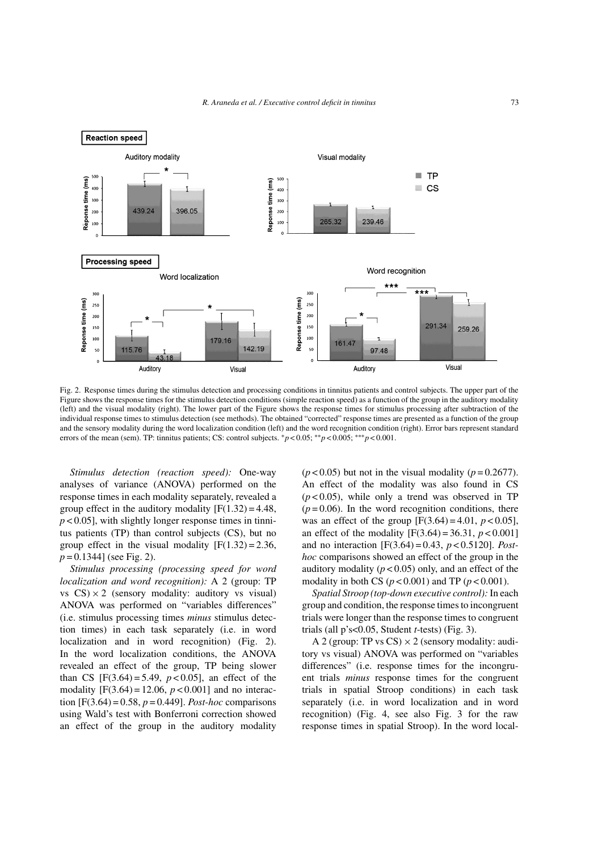

Fig. 2. Response times during the stimulus detection and processing conditions in tinnitus patients and control subjects. The upper part of the Figure shows the response times for the stimulus detection conditions (simple reaction speed) as a function of the group in the auditory modality (left) and the visual modality (right). The lower part of the Figure shows the response times for stimulus processing after subtraction of the individual response times to stimulus detection (see methods). The obtained "corrected" response times are presented as a function of the group and the sensory modality during the word localization condition (left) and the word recognition condition (right). Error bars represent standard errors of the mean (sem). TP: tinnitus patients; CS: control subjects. ∗*p* < 0.05; ∗∗*p* < 0.005; ∗∗∗*p* < 0.001.

*Stimulus detection (reaction speed):* One-way analyses of variance (ANOVA) performed on the response times in each modality separately, revealed a group effect in the auditory modality  $[F(1.32) = 4.48]$ , *p* < 0.05], with slightly longer response times in tinnitus patients (TP) than control subjects (CS), but no group effect in the visual modality  $[F(1.32) = 2.36]$ , *p* = 0.1344] (see Fig. 2).

*Stimulus processing (processing speed for word localization and word recognition):* A 2 (group: TP vs  $CS \times 2$  (sensory modality: auditory vs visual) ANOVA was performed on "variables differences" (i.e. stimulus processing times *minus* stimulus detection times) in each task separately (i.e. in word localization and in word recognition) (Fig. 2). In the word localization conditions, the ANOVA revealed an effect of the group, TP being slower than CS  $[F(3.64) = 5.49, p < 0.05]$ , an effect of the modality  $[F(3.64) = 12.06, p < 0.001]$  and no interaction  $[F(3.64) = 0.58, p = 0.449]$ . *Post-hoc* comparisons using Wald's test with Bonferroni correction showed an effect of the group in the auditory modality  $(p<0.05)$  but not in the visual modality  $(p=0.2677)$ . An effect of the modality was also found in CS  $(p<0.05)$ , while only a trend was observed in TP  $(p=0.06)$ . In the word recognition conditions, there was an effect of the group  $[F(3.64) = 4.01, p < 0.05]$ , an effect of the modality  $[F(3.64) = 36.31, p < 0.001]$ and no interaction [F(3.64) = 0.43, *p* < 0.5120]. *Posthoc* comparisons showed an effect of the group in the auditory modality  $(p < 0.05)$  only, and an effect of the modality in both CS  $(p < 0.001)$  and TP  $(p < 0.001)$ .

*Spatial Stroop (top-down executive control):* In each group and condition, the response times to incongruent trials were longer than the response times to congruent trials (all p's<0.05, Student *t*-tests) (Fig. 3).

A 2 (group: TP vs  $CS$ )  $\times$  2 (sensory modality: auditory vs visual) ANOVA was performed on "variables differences" (i.e. response times for the incongruent trials *minus* response times for the congruent trials in spatial Stroop conditions) in each task separately (i.e. in word localization and in word recognition) (Fig. 4, see also Fig. 3 for the raw response times in spatial Stroop). In the word local-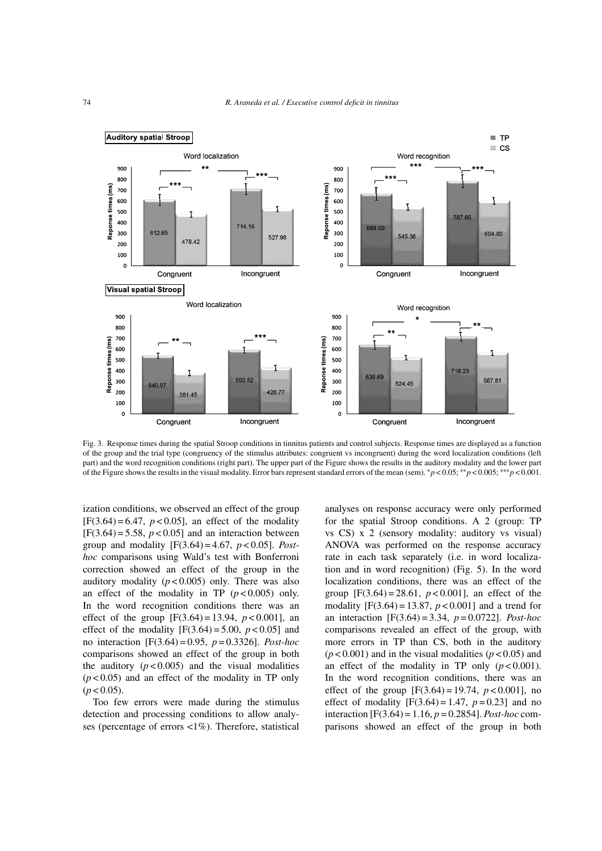

Fig. 3. Response times during the spatial Stroop conditions in tinnitus patients and control subjects. Response times are displayed as a function of the group and the trial type (congruency of the stimulus attributes: congruent vs incongruent) during the word localization conditions (left part) and the word recognition conditions (right part). The upper part of the Figure shows the results in the auditory modality and the lower part of the Figure shows the results in the visual modality. Error bars represent standard errors of the mean (sem). ∗*p* < 0.05; ∗∗*p* < 0.005; ∗∗∗*p* < 0.001.

ization conditions, we observed an effect of the group  $[F(3.64) = 6.47, p < 0.05]$ , an effect of the modality  $[F(3.64) = 5.58, p < 0.05]$  and an interaction between group and modality [F(3.64) = 4.67, *p* < 0.05]. *Posthoc* comparisons using Wald's test with Bonferroni correction showed an effect of the group in the auditory modality  $(p < 0.005)$  only. There was also an effect of the modality in TP  $(p < 0.005)$  only. In the word recognition conditions there was an effect of the group  $[F(3.64) = 13.94, p < 0.001]$ , an effect of the modality  $[F(3.64) = 5.00, p < 0.05]$  and no interaction [F(3.64) = 0.95, *p* = 0.3326]. *Post-hoc* comparisons showed an effect of the group in both the auditory  $(p<0.005)$  and the visual modalities  $(p<0.05)$  and an effect of the modality in TP only  $(p < 0.05)$ .

Too few errors were made during the stimulus detection and processing conditions to allow analyses (percentage of errors <1%). Therefore, statistical

analyses on response accuracy were only performed for the spatial Stroop conditions. A 2 (group: TP vs CS) x 2 (sensory modality: auditory vs visual) ANOVA was performed on the response accuracy rate in each task separately (i.e. in word localization and in word recognition) (Fig. 5). In the word localization conditions, there was an effect of the group  $[F(3.64) = 28.61, p < 0.001]$ , an effect of the modality  $[F(3.64) = 13.87, p < 0.001]$  and a trend for an interaction [F(3.64) = 3.34, *p* = 0.0722]. *Post-hoc* comparisons revealed an effect of the group, with more errors in TP than CS, both in the auditory  $(p<0.001)$  and in the visual modalities  $(p<0.05)$  and an effect of the modality in TP only  $(p < 0.001)$ . In the word recognition conditions, there was an effect of the group  $[F(3.64) = 19.74, p < 0.001]$ , no effect of modality  $[F(3.64) = 1.47, p = 0.23]$  and no interaction [F(3.64) = 1.16, *p* = 0.2854]. *Post-hoc* comparisons showed an effect of the group in both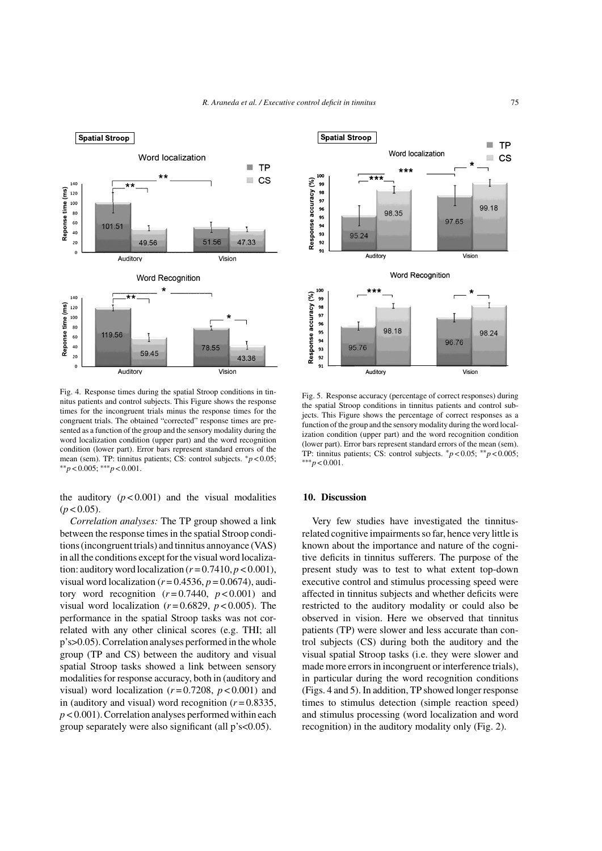

Fig. 4. Response times during the spatial Stroop conditions in tinnitus patients and control subjects. This Figure shows the response times for the incongruent trials minus the response times for the congruent trials. The obtained "corrected" response times are presented as a function of the group and the sensory modality during the word localization condition (upper part) and the word recognition condition (lower part). Error bars represent standard errors of the mean (sem). TP: tinnitus patients; CS: control subjects. ∗*p* < 0.05; ∗∗*p* < 0.005; ∗∗∗*p* < 0.001.

the auditory  $(p < 0.001)$  and the visual modalities  $(p < 0.05)$ .

*Correlation analyses:* The TP group showed a link between the response times in the spatial Stroop conditions (incongruent trials) and tinnitus annoyance (VAS) in all the conditions except for the visual word localization: auditory word localization  $(r = 0.7410, p < 0.001)$ , visual word localization ( $r = 0.4536$ ,  $p = 0.0674$ ), auditory word recognition  $(r=0.7440, p<0.001)$  and visual word localization  $(r=0.6829, p<0.005)$ . The performance in the spatial Stroop tasks was not correlated with any other clinical scores (e.g. THI; all p's>0.05). Correlation analyses performed in the whole group (TP and CS) between the auditory and visual spatial Stroop tasks showed a link between sensory modalities for response accuracy, both in (auditory and visual) word localization  $(r=0.7208, p<0.001)$  and in (auditory and visual) word recognition  $(r=0.8335)$ , *p* < 0.001). Correlation analyses performed within each group separately were also significant (all p's<0.05).



Fig. 5. Response accuracy (percentage of correct responses) during the spatial Stroop conditions in tinnitus patients and control subjects. This Figure shows the percentage of correct responses as a function of the group and the sensory modality during the word localization condition (upper part) and the word recognition condition (lower part). Error bars represent standard errors of the mean (sem). TP: tinnitus patients; CS: control subjects. ∗*p* < 0.05; ∗∗*p* < 0.005; ∗∗∗*p* < 0.001.

#### **10. Discussion**

Very few studies have investigated the tinnitusrelated cognitive impairments so far, hence very little is known about the importance and nature of the cognitive deficits in tinnitus sufferers. The purpose of the present study was to test to what extent top-down executive control and stimulus processing speed were affected in tinnitus subjects and whether deficits were restricted to the auditory modality or could also be observed in vision. Here we observed that tinnitus patients (TP) were slower and less accurate than control subjects (CS) during both the auditory and the visual spatial Stroop tasks (i.e. they were slower and made more errors in incongruent or interference trials), in particular during the word recognition conditions (Figs. 4 and 5). In addition, TP showed longer response times to stimulus detection (simple reaction speed) and stimulus processing (word localization and word recognition) in the auditory modality only (Fig. 2).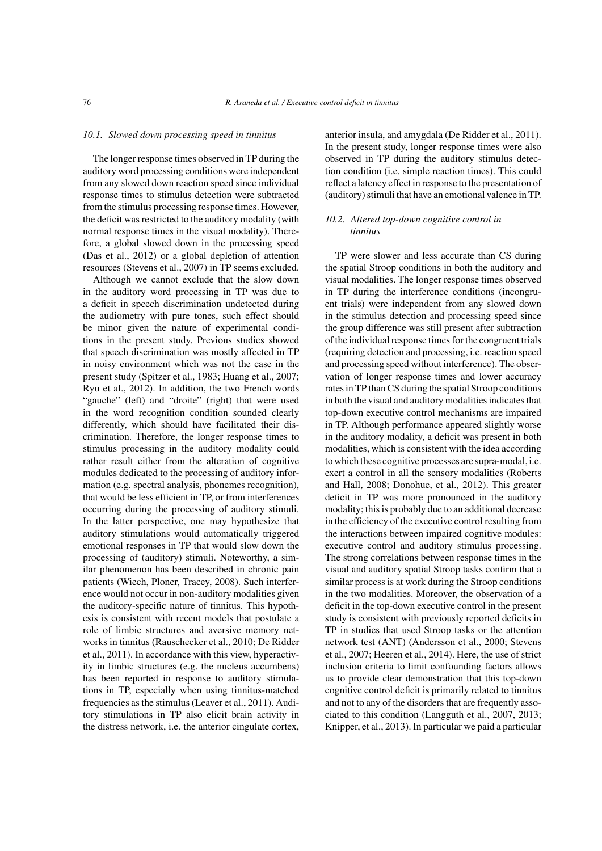#### *10.1. Slowed down processing speed in tinnitus*

The longer response times observed in TP during the auditory word processing conditions were independent from any slowed down reaction speed since individual response times to stimulus detection were subtracted from the stimulus processing response times. However, the deficit was restricted to the auditory modality (with normal response times in the visual modality). Therefore, a global slowed down in the processing speed (Das et al., 2012) or a global depletion of attention resources (Stevens et al., 2007) in TP seems excluded.

Although we cannot exclude that the slow down in the auditory word processing in TP was due to a deficit in speech discrimination undetected during the audiometry with pure tones, such effect should be minor given the nature of experimental conditions in the present study. Previous studies showed that speech discrimination was mostly affected in TP in noisy environment which was not the case in the present study (Spitzer et al., 1983; Huang et al., 2007; Ryu et al., 2012). In addition, the two French words "gauche" (left) and "droite" (right) that were used in the word recognition condition sounded clearly differently, which should have facilitated their discrimination. Therefore, the longer response times to stimulus processing in the auditory modality could rather result either from the alteration of cognitive modules dedicated to the processing of auditory information (e.g. spectral analysis, phonemes recognition), that would be less efficient in TP, or from interferences occurring during the processing of auditory stimuli. In the latter perspective, one may hypothesize that auditory stimulations would automatically triggered emotional responses in TP that would slow down the processing of (auditory) stimuli. Noteworthy, a similar phenomenon has been described in chronic pain patients (Wiech, Ploner, Tracey, 2008). Such interference would not occur in non-auditory modalities given the auditory-specific nature of tinnitus. This hypothesis is consistent with recent models that postulate a role of limbic structures and aversive memory networks in tinnitus (Rauschecker et al., 2010; De Ridder et al., 2011). In accordance with this view, hyperactivity in limbic structures (e.g. the nucleus accumbens) has been reported in response to auditory stimulations in TP, especially when using tinnitus-matched frequencies as the stimulus (Leaver et al., 2011). Auditory stimulations in TP also elicit brain activity in the distress network, i.e. the anterior cingulate cortex,

anterior insula, and amygdala (De Ridder et al., 2011). In the present study, longer response times were also observed in TP during the auditory stimulus detection condition (i.e. simple reaction times). This could reflect a latency effect in response to the presentation of (auditory) stimuli that have an emotional valence in TP.

# *10.2. Altered top-down cognitive control in tinnitus*

TP were slower and less accurate than CS during the spatial Stroop conditions in both the auditory and visual modalities. The longer response times observed in TP during the interference conditions (incongruent trials) were independent from any slowed down in the stimulus detection and processing speed since the group difference was still present after subtraction of the individual response times for the congruent trials (requiring detection and processing, i.e. reaction speed and processing speed without interference). The observation of longer response times and lower accuracy rates in TP than CS during the spatial Stroop conditions in both the visual and auditory modalities indicates that top-down executive control mechanisms are impaired in TP. Although performance appeared slightly worse in the auditory modality, a deficit was present in both modalities, which is consistent with the idea according to which these cognitive processes are supra-modal, i.e. exert a control in all the sensory modalities (Roberts and Hall, 2008; Donohue, et al., 2012). This greater deficit in TP was more pronounced in the auditory modality; this is probably due to an additional decrease in the efficiency of the executive control resulting from the interactions between impaired cognitive modules: executive control and auditory stimulus processing. The strong correlations between response times in the visual and auditory spatial Stroop tasks confirm that a similar process is at work during the Stroop conditions in the two modalities. Moreover, the observation of a deficit in the top-down executive control in the present study is consistent with previously reported deficits in TP in studies that used Stroop tasks or the attention network test (ANT) (Andersson et al., 2000; Stevens et al., 2007; Heeren et al., 2014). Here, the use of strict inclusion criteria to limit confounding factors allows us to provide clear demonstration that this top-down cognitive control deficit is primarily related to tinnitus and not to any of the disorders that are frequently associated to this condition (Langguth et al., 2007, 2013; Knipper, et al., 2013). In particular we paid a particular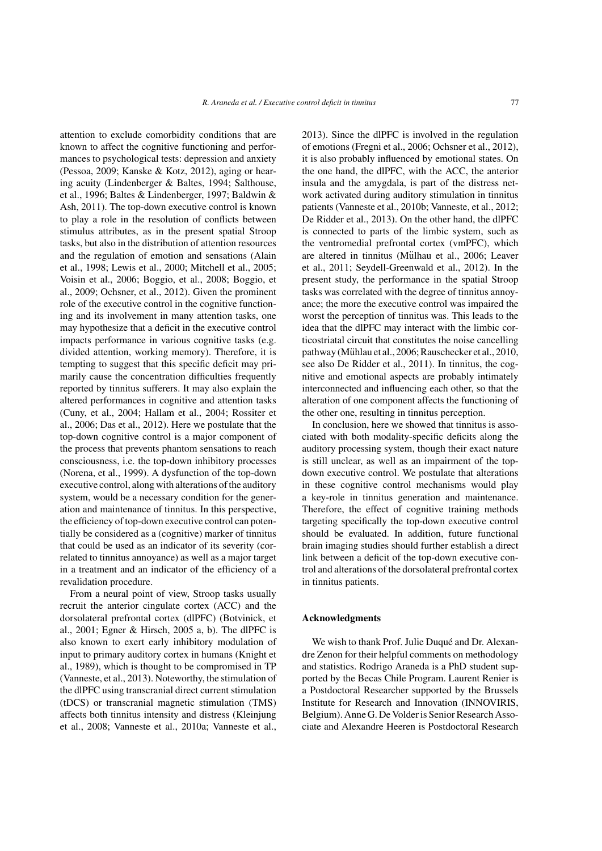attention to exclude comorbidity conditions that are known to affect the cognitive functioning and performances to psychological tests: depression and anxiety (Pessoa, 2009; Kanske & Kotz, 2012), aging or hearing acuity (Lindenberger & Baltes, 1994; Salthouse, et al., 1996; Baltes & Lindenberger, 1997; Baldwin & Ash, 2011). The top-down executive control is known to play a role in the resolution of conflicts between stimulus attributes, as in the present spatial Stroop tasks, but also in the distribution of attention resources and the regulation of emotion and sensations (Alain et al., 1998; Lewis et al., 2000; Mitchell et al., 2005; Voisin et al., 2006; Boggio, et al., 2008; Boggio, et al., 2009; Ochsner, et al., 2012). Given the prominent role of the executive control in the cognitive functioning and its involvement in many attention tasks, one may hypothesize that a deficit in the executive control impacts performance in various cognitive tasks (e.g. divided attention, working memory). Therefore, it is tempting to suggest that this specific deficit may primarily cause the concentration difficulties frequently reported by tinnitus sufferers. It may also explain the altered performances in cognitive and attention tasks (Cuny, et al., 2004; Hallam et al., 2004; Rossiter et al., 2006; Das et al., 2012). Here we postulate that the top-down cognitive control is a major component of the process that prevents phantom sensations to reach consciousness, i.e. the top-down inhibitory processes (Norena, et al., 1999). A dysfunction of the top-down executive control, along with alterations of the auditory system, would be a necessary condition for the generation and maintenance of tinnitus. In this perspective, the efficiency of top-down executive control can potentially be considered as a (cognitive) marker of tinnitus that could be used as an indicator of its severity (correlated to tinnitus annoyance) as well as a major target in a treatment and an indicator of the efficiency of a revalidation procedure.

From a neural point of view, Stroop tasks usually recruit the anterior cingulate cortex (ACC) and the dorsolateral prefrontal cortex (dlPFC) (Botvinick, et al., 2001; Egner & Hirsch, 2005 a, b). The dlPFC is also known to exert early inhibitory modulation of input to primary auditory cortex in humans (Knight et al., 1989), which is thought to be compromised in TP (Vanneste, et al., 2013). Noteworthy, the stimulation of the dlPFC using transcranial direct current stimulation (tDCS) or transcranial magnetic stimulation (TMS) affects both tinnitus intensity and distress (Kleinjung et al., 2008; Vanneste et al., 2010a; Vanneste et al.,

2013). Since the dlPFC is involved in the regulation of emotions (Fregni et al., 2006; Ochsner et al., 2012), it is also probably influenced by emotional states. On the one hand, the dlPFC, with the ACC, the anterior insula and the amygdala, is part of the distress network activated during auditory stimulation in tinnitus patients (Vanneste et al., 2010b; Vanneste, et al., 2012; De Ridder et al., 2013). On the other hand, the dlPFC is connected to parts of the limbic system, such as the ventromedial prefrontal cortex (vmPFC), which are altered in tinnitus (Mülhau et al., 2006; Leaver et al., 2011; Seydell-Greenwald et al., 2012). In the present study, the performance in the spatial Stroop tasks was correlated with the degree of tinnitus annoyance; the more the executive control was impaired the worst the perception of tinnitus was. This leads to the idea that the dlPFC may interact with the limbic corticostriatal circuit that constitutes the noise cancelling pathway (Mühlau et al., 2006; Rauschecker et al., 2010, see also De Ridder et al., 2011). In tinnitus, the cognitive and emotional aspects are probably intimately interconnected and influencing each other, so that the alteration of one component affects the functioning of the other one, resulting in tinnitus perception.

In conclusion, here we showed that tinnitus is associated with both modality-specific deficits along the auditory processing system, though their exact nature is still unclear, as well as an impairment of the topdown executive control. We postulate that alterations in these cognitive control mechanisms would play a key-role in tinnitus generation and maintenance. Therefore, the effect of cognitive training methods targeting specifically the top-down executive control should be evaluated. In addition, future functional brain imaging studies should further establish a direct link between a deficit of the top-down executive control and alterations of the dorsolateral prefrontal cortex in tinnitus patients.

# **Acknowledgments**

We wish to thank Prof. Julie Duqué and Dr. Alexandre Zenon for their helpful comments on methodology and statistics. Rodrigo Araneda is a PhD student supported by the Becas Chile Program. Laurent Renier is a Postdoctoral Researcher supported by the Brussels Institute for Research and Innovation (INNOVIRIS, Belgium). Anne G. De Volder is Senior Research Associate and Alexandre Heeren is Postdoctoral Research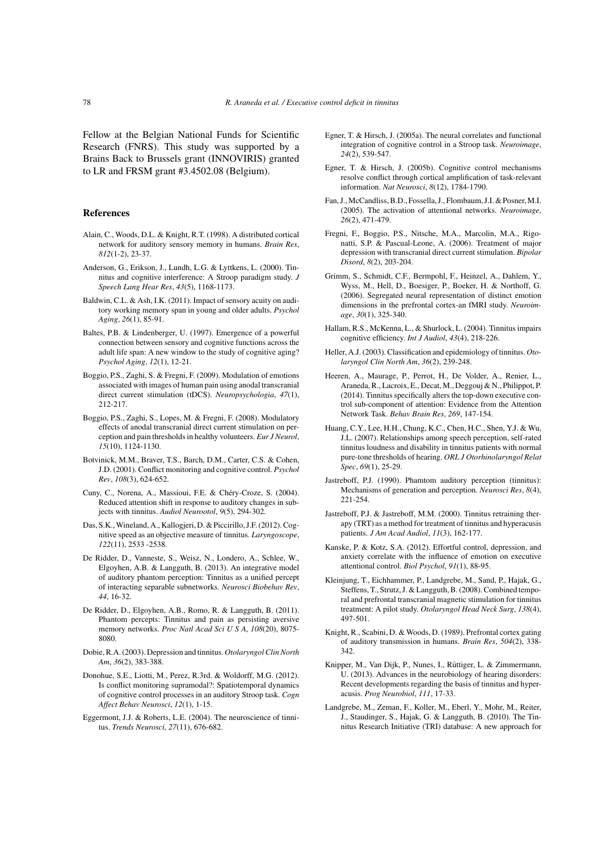Fellow at the Belgian National Funds for Scientific Research (FNRS). This study was supported by a Brains Back to Brussels grant (INNOVIRIS) granted to LR and FRSM grant #3.4502.08 (Belgium).

## **References**

- Alain, C., Woods, D.L. & Knight, R.T. (1998). A distributed cortical network for auditory sensory memory in humans. *Brain Res*, *812*(1-2), 23-37.
- Anderson, G., Erikson, J., Lundh, L.G. & Lyttkens, L. (2000). Tinnitus and cognitive interference: A Stroop paradigm study. *J Speech Lang Hear Res*, *43*(5), 1168-1173.
- Baldwin, C.L. & Ash, I.K. (2011). Impact of sensory acuity on auditory working memory span in young and older adults. *Psychol Aging*, *26*(1), 85-91.
- Baltes, P.B. & Lindenberger, U. (1997). Emergence of a powerful connection between sensory and cognitive functions across the adult life span: A new window to the study of cognitive aging? *Psychol Aging*, *12*(1), 12-21.
- Boggio, P.S., Zaghi, S. & Fregni, F. (2009). Modulation of emotions associated with images of human pain using anodal transcranial direct current stimulation (tDCS). *Neuropsychologia*, *47*(1), 212-217.
- Boggio, P.S., Zaghi, S., Lopes, M. & Fregni, F. (2008). Modulatory effects of anodal transcranial direct current stimulation on perception and pain thresholds in healthy volunteers. *Eur J Neurol*, *15*(10), 1124-1130.
- Botvinick, M.M., Braver, T.S., Barch, D.M., Carter, C.S. & Cohen, J.D. (2001). Conflict monitoring and cognitive control. *Psychol Rev*, *108*(3), 624-652.
- Cuny, C., Norena, A., Massioui, F.E. & Chéry-Croze, S. (2004). Reduced attention shift in response to auditory changes in subjects with tinnitus. *Audiol Neurootol*, *9*(5), 294-302.
- Das, S.K.,Wineland, A., Kallogjeri, D. & Piccirillo, J.F. (2012). Cognitive speed as an objective measure of tinnitus. *Laryngoscope*, *122*(11), 2533 -2538.
- De Ridder, D., Vanneste, S., Weisz, N., Londero, A., Schlee, W., Elgoyhen, A.B. & Langguth, B. (2013). An integrative model of auditory phantom perception: Tinnitus as a unified percept of interacting separable subnetworks. *Neurosci Biobehav Rev*, *44*, 16-32.
- De Ridder, D., Elgoyhen, A.B., Romo, R. & Langguth, B. (2011). Phantom percepts: Tinnitus and pain as persisting aversive memory networks. *Proc Natl Acad SciUSA*, *108*(20), 8075- 8080.
- Dobie, R.A. (2003). Depression and tinnitus. *Otolaryngol Clin North Am*, *36*(2), 383-388.
- Donohue, S.E., Liotti, M., Perez, R.3rd. & Woldorff, M.G. (2012). Is conflict monitoring supramodal?: Spatiotemporal dynamics of cognitive control processes in an auditory Stroop task. *Cogn Affect Behav Neurosci*, *12*(1), 1-15.
- Eggermont, J.J. & Roberts, L.E. (2004). The neuroscience of tinnitus. *Trends Neurosci*, *27*(11), 676-682.
- Egner, T. & Hirsch, J. (2005a). The neural correlates and functional integration of cognitive control in a Stroop task. *Neuroimage*, *24*(2), 539-547.
- Egner, T. & Hirsch, J. (2005b). Cognitive control mechanisms resolve conflict through cortical amplification of task-relevant information. *Nat Neurosci*, *8*(12), 1784-1790.
- Fan, J., McCandliss, B.D., Fossella, J., Flombaum, J.I. & Posner, M.I. (2005). The activation of attentional networks. *Neuroimage*, *26*(2), 471-479.
- Fregni, F., Boggio, P.S., Nitsche, M.A., Marcolin, M.A., Rigonatti, S.P. & Pascual-Leone, A. (2006). Treatment of major depression with transcranial direct current stimulation. *Bipolar Disord*, *8*(2), 203-204.
- Grimm, S., Schmidt, C.F., Bermpohl, F., Heinzel, A., Dahlem, Y., Wyss, M., Hell, D., Boesiger, P., Boeker, H. & Northoff, G. (2006). Segregated neural representation of distinct emotion dimensions in the prefrontal cortex-an fMRI study. *Neuroimage*, *30*(1), 325-340.
- Hallam, R.S., McKenna, L., & Shurlock, L. (2004). Tinnitus impairs cognitive efficiency. *Int J Audiol*, *43*(4), 218-226.
- Heller, A.J. (2003). Classification and epidemiology of tinnitus. *Otolaryngol Clin North Am*, *36*(2), 239-248.
- Heeren, A., Maurage, P., Perrot, H., De Volder, A., Renier, L., Araneda, R., Lacroix, E., Decat, M., Deggouj & N., Philippot, P. (2014). Tinnitus specifically alters the top-down executive control sub-component of attention: Evidence from the Attention Network Task. *Behav Brain Res*, *269*, 147-154.
- Huang, C.Y., Lee, H.H., Chung, K.C., Chen, H.C., Shen, Y.J. & Wu, J.L. (2007). Relationships among speech perception, self-rated tinnitus loudness and disability in tinnitus patients with normal pure-tone thresholds of hearing. *ORL J Otorhinolaryngol Relat Spec*, *69*(1), 25-29.
- Jastreboff, P.J. (1990). Phamtom auditory perception (tinnitus): Mechanisms of generation and perception. *Neurosci Res*, *8*(4), 221-254.
- Jastreboff, P.J. & Jastreboff, M.M. (2000). Tinnitus retraining therapy (TRT) as a method for treatment of tinnitus and hyperacusis patients. *J Am Acad Audiol*, *11*(3), 162-177.
- Kanske, P. & Kotz, S.A. (2012). Effortful control, depression, and anxiety correlate with the influence of emotion on executive attentional control. *Biol Psychol*, *91*(1), 88-95.
- Kleinjung, T., Eichhammer, P., Landgrebe, M., Sand, P., Hajak, G., Steffens, T., Strutz, J. & Langguth, B. (2008). Combined temporal and prefrontal transcranial magnetic stimulation for tinnitus treatment: A pilot study. *Otolaryngol Head Neck Surg*, *138*(4), 497-501.
- Knight, R., Scabini, D. & Woods, D. (1989). Prefrontal cortex gating of auditory transmission in humans. *Brain Res*, *504*(2), 338- 342.
- Knipper, M., Van Dijk, P., Nunes, I., Rüttiger, L. & Zimmermann, U. (2013). Advances in the neurobiology of hearing disorders: Recent developments regarding the basis of tinnitus and hyperacusis. *Prog Neurobiol*, *111*, 17-33.
- Landgrebe, M., Zeman, F., Koller, M., Eberl, Y., Mohr, M., Reiter, J., Staudinger, S., Hajak, G. & Langguth, B. (2010). The Tinnitus Research Initiative (TRI) database: A new approach for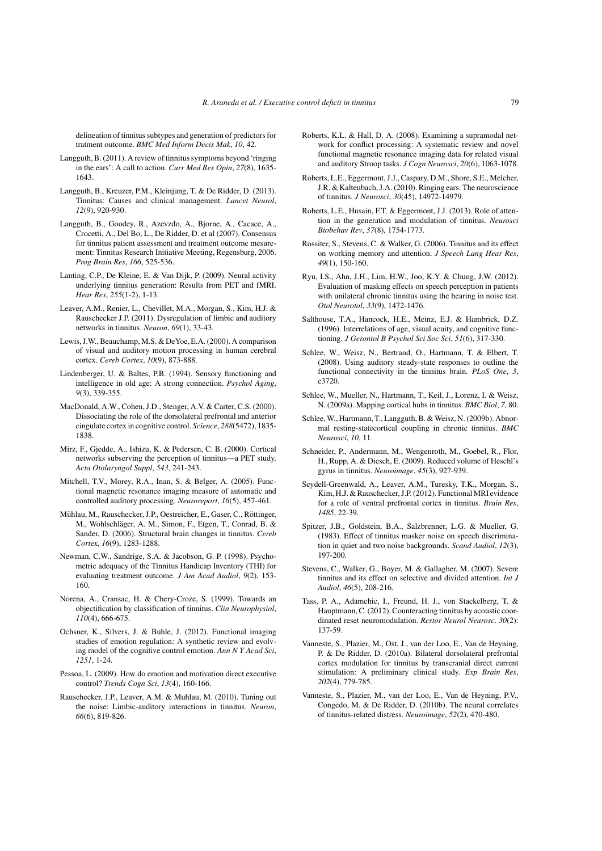delineation of tinnitus subtypes and generation of predictors for tratment outcome. *BMC Med Inform Decis Mak*, *10*, 42.

- Langguth, B. (2011). A review of tinnitus symptoms beyond 'ringing in the ears': A call to action. *Curr Med Res Opin*, *27*(8), 1635- 1643.
- Langguth, B., Kreuzer, P.M., Kleinjung, T. & De Ridder, D. (2013). Tinnitus: Causes and clinical management. *Lancet Neurol*, *12*(9), 920-930.
- Langguth, B., Goodey, R., Azevzdo, A., Bjorne, A., Cacace, A., Crocetti, A., Del Bo, L., De Ridder, D. et al (2007). Consensus for tinnitus patient assessment and treatment outcome mesurement: Tinnitus Research Initiative Meeting, Regensburg, 2006. *Prog Brain Res*, *166*, 525-536.
- Lanting, C.P., De Kleine, E. & Van Dijk, P. (2009). Neural activity underlying tinnitus generation: Results from PET and fMRI. *Hear Res*, *255*(1-2), 1-13.
- Leaver, A.M., Renier, L., Chevillet, M.A., Morgan, S., Kim, H.J. & Rauschecker J.P. (2011). Dysregulation of limbic and auditory networks in tinnitus. *Neuron*, *69*(1), 33-43.
- Lewis, J.W., Beauchamp, M.S. & DeYoe, E.A. (2000). A comparison of visual and auditory motion processing in human cerebral cortex. *Cereb Cortex*, *10*(9), 873-888.
- Lindenberger, U. & Baltes, P.B. (1994). Sensory functioning and intelligence in old age: A strong connection. *Psychol Aging*, *9*(3), 339-355.
- MacDonald, A.W., Cohen, J.D., Stenger, A.V. & Carter, C.S. (2000). Dissociating the role of the dorsolateral prefrontal and anterior cingulate cortex in cognitive control. *Science*, *288*(5472), 1835- 1838.
- Mirz, F., Gjedde, A., Ishizu, K. & Pedersen, C. B. (2000). Cortical networks subserving the perception of tinnitus—a PET study. *Acta Otolaryngol Suppl*, *543*, 241-243.
- Mitchell, T.V., Morey, R.A., Inan, S. & Belger, A. (2005). Functional magnetic resonance imaging measure of automatic and controlled auditory processing. *Neuroreport*, *16*(5), 457-461.
- Mühlau, M., Rauschecker, J.P., Oestreicher, E., Gaser, C., Röttinger, M., Wohlschlager, A. M., Simon, F., Etgen, T., Conrad, B. & ¨ Sander, D. (2006). Structural brain changes in tinnitus. *Cereb Cortex*, *16*(9), 1283-1288.
- Newman, C.W., Sandrige, S.A. & Jacobson, G. P. (1998). Psychometric adequacy of the Tinnitus Handicap Inventory (THI) for evaluating treatment outcome. *J Am Acad Audiol*, *9*(2), 153- 160.
- Norena, A., Cransac, H. & Chery-Croze, S. (1999). Towards an objectification by classification of tinnitus. *Clin Neurophysiol*, *110*(4), 666-675.
- Ochsner, K., Silvers, J. & Buhle, J. (2012). Functional imaging studies of emotion regulation: A synthetic review and evolving model of the cognitive control emotion. *Ann N Y Acad Sci*, *1251*, 1-24.
- Pessoa, L. (2009). How do emotion and motivation direct executive control? *Trends Cogn Sci*, *13*(4), 160-166.
- Rauschecker, J.P., Leaver, A.M. & Muhlau, M. (2010). Tuning out the noise: Limbic-auditory interactions in tinnitus. *Neuron*, *66*(6), 819-826.
- Roberts, K.L. & Hall, D. A. (2008). Examining a supramodal network for conflict processing: A systematic review and novel functional magnetic resonance imaging data for related visual and auditory Stroop tasks. *J Cogn Neurosci*, *20*(6), 1063-1078.
- Roberts, L.E., Eggermont, J.J., Caspary, D.M., Shore, S.E., Melcher, J.R. & Kaltenbach, J.A. (2010). Ringing ears: The neuroscience of tinnitus. *J Neurosci*, *30*(45), 14972-14979.
- Roberts, L.E., Husain, F.T. & Eggermont, J.J. (2013). Role of attention in the generation and modulation of tinnitus. *Neurosci Biobehav Rev*, *37*(8), 1754-1773.
- Rossiter, S., Stevens, C. & Walker, G. (2006). Tinnitus and its effect on working memory and attention. *J Speech Lang Hear Res*, *49*(1), 150-160.
- Ryu, I.S., Ahn, J.H., Lim, H.W., Joo, K.Y. & Chung, J.W. (2012). Evaluation of masking effects on speech perception in patients with unilateral chronic tinnitus using the hearing in noise test. *Otol Neurotol*, *33*(9), 1472-1476.
- Salthouse, T.A., Hancock, H.E., Meinz, E.J. & Hambrick, D.Z. (1996). Interrelations of age, visual acuity, and cognitive functioning. *J Gerontol B Psychol Sci Soc Sci*, *51*(6), 317-330.
- Schlee, W., Weisz, N., Bertrand, O., Hartmann, T. & Elbert, T. (2008). Using auditory steady-state responses to outline the functional connectivity in the tinnitus brain. *PLoS One*, *3*, e3720.
- Schlee, W., Mueller, N., Hartmann, T., Keil, J., Lorenz, I. & Weisz, N. (2009a). Mapping cortical hubs in tinnitus. *BMC Biol*, *7*, 80.
- Schlee, W., Hartmann, T., Langguth, B. & Weisz, N. (2009b). Abnormal resting-statecortical coupling in chronic tinnitus. *BMC Neurosci*, *10*, 11.
- Schneider, P., Andermann, M., Wengenroth, M., Goebel, R., Flor, H., Rupp, A. & Diesch, E. (2009). Reduced volume of Heschl's gyrus in tinnitus. *Neuroimage*, *45*(3), 927-939.
- Seydell-Greenwald, A., Leaver, A.M., Turesky, T.K., Morgan, S., Kim, H.J. & Rauschecker, J.P. (2012). Functional MRI evidence for a role of ventral prefrontal cortex in tinnitus. *Brain Res*, *1485*, 22-39.
- Spitzer, J.B., Goldstein, B.A., Salzbrenner, L.G. & Mueller, G. (1983). Effect of tinnitus masker noise on speech discrimination in quiet and two noise backgrounds. *Scand Audiol*, *12*(3), 197-200.
- Stevens, C., Walker, G., Boyer, M. & Gallagher, M. (2007). Severe tinnitus and its effect on selective and divided attention. *Int J Audiol*, *46*(5), 208-216.
- Tass, P. A., Adamchic, I., Freund, H. J., von Stackelberg, T. & Hauptmann, C. (2012). Counteracting tinnitus by acoustic coordinated reset neuromodulation. *Restor Neurol Neurosc*. *30*(2): 137-59.
- Vanneste, S., Plazier, M., Ost, J., van der Loo, E., Van de Heyning, P. & De Ridder, D. (2010a). Bilateral dorsolateral prefrontal cortex modulation for tinnitus by transcranial direct current stimulation: A preliminary clinical study. *Exp Brain Res*, *202*(4), 779-785.
- Vanneste, S., Plazier, M., van der Loo, E., Van de Heyning, P.V., Congedo, M. & De Ridder, D. (2010b). The neural correlates of tinnitus-related distress. *Neuroimage*, *52*(2), 470-480.